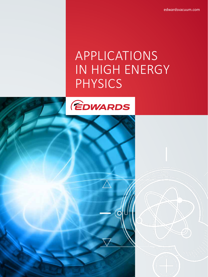edwardsvacuum.com

# APPLICATIONS IN HIGH ENERGY PHYSICS

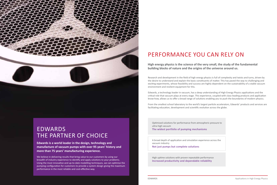

# EDWARDS THE PARTNER OF CHOICE

**Edwards is a world leader in the design, technology and manufacture of vacuum pumps with over 95 years' history and more than 75 years' manufacturing experience.** 

We believe in delivering results that bring value to our customers by using our breadth of industry experience to identify and apply solutions to your problems. Using the most innovative and up-to-date modelling techniques, we can optimise the pumping configuration for customers to provide a system design giving the maximum performance in the most reliable and cost-effective way.

# PERFORMANCE YOU CAN RELY ON

**High energy physics is the science of the very small, the study of the fundamental building blocks of nature and the origins of the universe around us.**

Research and development in the field of high energy physics is full of complexity and twists and turns, driven by the desire to understand and explain the basic constituents of matter. This has paved the way to challenging and exciting experiments, whose feasibility and success are highly dependent on the sustainability of a stable vacuum environment and resilient equipment for this.

Edwards, a technology leader in vacuum, has a deep understanding of High Energy Physics applications and the critical role that vacuum plays at every stage. This experience, coupled with class-leading products and application know-how, allows us to offer a broad range of solutions enabling you to push the boundaries of modern physics.

From the smallest school laboratory to the world's largest particle accelerators, Edwards' products and services are facilitating education, development and scientific evolution across the globe.

Optimised solutions for performance from atmospheric pressure to ultra-high vacuum

**The widest portfolio of pumping mechanisms**

A broad depth of application and simulation experience across the vacuum industry **Not just pumps but complete solutions**

High uptime solutions with proven repeatable performance

**Increased productivity and dependable reliability**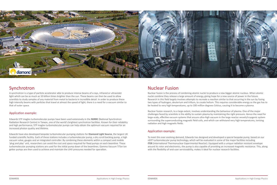# Synchrotron

A synchrotron is a type of particle accelerator able to produce intense beams of x-rays, infrared or ultraviolet light which can be as much as 10 billion times brighter than the sun. These beams can then be used to allow scientists to study samples of any material from metal to bacteria in incredible detail. In order to produce these high intensity beams with particles that travel at almost the speed of light, there is a need for a vacuum similar to that of outer space.

### Application example:

# Nuclear Fusion

Nuclear fusion is the process of combining atomic nuclei to produce a new bigger atomic nucleus. When atomic nuclei combine they release a large amount of energy, giving hope for a new source of power in the future. Research in this field largely involves attempts to recreate a reaction similar to that occurring in the sun by fusing two types of hydrogen, deuterium and tritium, to create helium. This requires considerable energy as the gas has to be heated to very high temperatures, up to 100 million degrees Celsius, causing it to become a plasma.

Nuclear fusion research, to a large extent, involves understanding the behaviour of plasma. One of the major challenges faced by scientists is the ability to sustain plasma by maintaining the right pressure. Hence the need for large-scale, effective vacuum systems that ensure ultra-high vacuum in the large reactor vessels/cryogenic system surrounding the superconducting magnetic field coils, and which can withstand very high temperatures, ionising radiation and high magnetic fields.

### Application example:



Edwards STP maglev turbomolecular pumps have been used extensively in the **NSRRC** (National Synchrotron Radiation Research Centre) in Taiwan, one of the world's brightest synchrotron facilities. Known for their reliability and high performance, STP maglev turbomolecular pumps can help obtain the optimum vacuum required for an increased photon quality and lifetime.

Edwards have also developed bespoke turbomolecular pumping stations for **Diamond Light Source**, the largest UK funded scientific facility. Each of these stations includes a turbomolecular pump, a dry scroll backing pump, a high vacuum valve, gauges and an integrated controller. By combining these elements within a compact and mobile 'plug and play' unit, researchers can avoid the cost and space required for fixed pumps on each beamline. These turbomolecular pumping stations are used for the initial pump down of the beamlines. Gamma Vacuum TiTan ion getter pumps are then used to achieve and maintain the UHV pressures needed for operation.

To meet this ever evolving demand, Edwards has designed and developed a special bespoke pump, based on our nEXT turbomolecular pump technology, which will be evaluated in some of the major facilities including **ITER** (International Thermonuclear Experimental Reactor). Equipped with a unique radiation resistant envelope around its rotor and electronics, the pump is also capable of providing an increased magnetic resistance. This, along with the flexibility of end-user serviceability, makes it ideal for nuclear research facilities.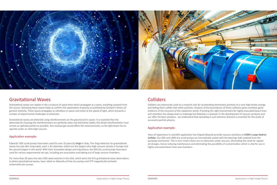

## Gravitational Waves

Gravitational waves are ripples in the curvature of space-time which propagate as a wave, travelling outward from the source. Detecting these waves helps to confirm the explanation of gravity as predicted by Einstein's theory of general relativity. These waves propagate as vibrations in space and travel at the speed of light, which presents a number of experimental challenges to physicists.

Gravitational waves are detected using interferometers on the ground and in space. It is essential that the observatories housing the interferometers are perfectly clean and extremely stable; the whole interferometer must remain as optically perfect as possible. Any residual gas would affect the measurements, so the light beam has to operate under an ultra-high vacuum.

### Application example:

Colliders are extensively used as a research tool for accelerating elementary particles to a very high kinetic energy and letting them collide with other particles. Analysis of the by-products of these collisions gives scientists good evidence of the structure of the subatomic world. Providing the right environment for highly evacuated beam lines and chambers has always been a challenge but Edwards is a pioneer in the development of vacuum products and can offer the best solutions - we understand that operating in such extreme domains is essential for the study of successful particle physics.

### Application example:

Edwards' XDS scroll pumps have been used for over 10 years by **Virgo** in Italy. The Virgo detector for gravitational waves has two 3km long tubes, each 1.2m diameter, which are the largest ultra-high vacuum vessels in Europe and the second largest in the world. With their innovative design and robustness, the XDS dry scroll pumps have been used for various experimental set-ups, including pre-evacuation and baking out of large vacuum chambers.

For more than 20 years the two LIGO observatories in the USA, which were the first gravitational wave observatory to detect gravitational waves, have relied on Edwards oil free dry pumps and STP magnetically levitated turbomolecular pumps.

# **Colliders**

Years of experience in scientific application has helped Edwards provide vacuum solutions to **CERN's Large Hadron Collider**. Our XDS and nXDS dry scroll pumps are hermetically sealed with the bearings fully isolated from the pumping mechanism. This in turn means there are no lubricants under vacuum, eliminating the need for regular oil changes, hence reducing maintenance and eliminating the possibility of contamination which is vital for use in highly evacuated beam lines and chambers.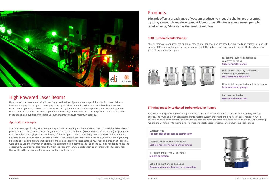## High Powered Laser Beams

High power laser beams are being increasingly used to investigate a wide range of domains from new fields in fundamental physics and gravitational physics to applications in medical science, material study and nuclear material management. These laser beams travel through multiple amplifiers to produce powerful pulses in the shortest interval possible. However, operation of these high intensity laser beams requires careful consideration in the design and building of the large vacuum systems to ensure maximum stability.

### Application example:

With a wide range of skills, experience and specialisation in unique tools and techniques, Edwards has been able to provide a first-class vacuum consultancy and training service to the **ELI** (Extreme Light Infrastructure) project in the Czech Republic, the high-power laser facility of the European Union. Specialising in unique tools and techniques, Edwards offer a vacuum modelling capability that is the best in the industry and can help you select the right pump, pipe and port sizes to ensure that the experiments and tests conducted cater to your requirements. In this case ELI were able to use the information on required pumps to help determine the size of the building needed to house the experiment. Edwards has also helped to train the vacuum team to enable them to understand the fundamentals that will help them maintain the vacuum systems in the future.

# Products

**Edwards offers a broad range of vacuum products to meet the challenges presented by today's research and development laboratories. Whatever your vacuum pumping requirements, Edwards has the product solution.**

### **STP Magnetically Levitated Turbomolecular Pumps**

Edwards STP maglev turbomolecular pumps are at the forefront of vacuum for R&D institutes and high energy physics. The multi-axis, non-contact magnetic bearing system ensures there is no risk of contamination, while minimising noise and vibration. This also means zero maintenance for most applications and low cost of ownership, making the STP maglev turbomolecular pumps the ideal choice for critical and demanding applications.

Exceptional pumping speeds and compression ratios **Superior performance**

Field proven reliability in the most demanding environments **No unplanned downtime**

Huge install base of turbomolecular pumps **turbomolecular pumps**

End user serviceable **Low cost of ownership**



Lubricant free **For zero risk of process contamination**

Ultra low noise and vibration levels **Stable process and work environment**

Intelligent and easy to use controls **Simple operation**

Self-adjustment and re-balancing **Zero maintenance, low cost of ownership**



### **nEXT Turbomolecular Pumps**

nEXT turbomolecular pumps are built on decades of experience and are based on our tried and trusted EXT and STP ranges. nEXT pumps offer superior performance, reliability and end user serviceability, setting the benchmark for scientific turbomolecular pumps.



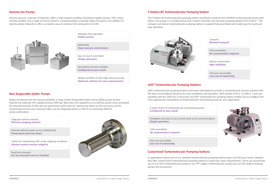### **T-Station 85 Turbomolecular Pumping Station**

The T-Station 85 turbomolecular pumping station seamlessly combines the nEXT85H turbomolecular pump with either a dry pump or oil sealed pump and a simple controller and provides pumping speeds of 47 to 84 ls<sup>-1</sup>. This compact and robust turbomolecular pumping station is supplied fully assembled and ready to go for quick and easy operation.



### **Gamma Ion Pumps**

Gamma Vacuum, now part of Edwards, offers a wide product portfolio including ion getter pumps, TSPs, newly introduced NEGs and a range of control systems. Complementing its existing range of products, the addition of Gamma allows Edwards to offer a complete vacuum solution from atmosphere to UHV.



### **nEXT Turbomolecular Pumping Stations**

nEXT turbomolecular pumping stations have been developed to provide a comprehensive vacuum solution with the latest technological advances for easy installation and operation. With speeds of 47 ls<sup>-1</sup> to 400 ls<sup>-1</sup>, and now available with the nXDS dry scroll pump, the nEXT turbomolecular pumping station enables you to configure the most appropriate combination of turbomolecular and backing pump for your application.

### **Customised Turbomolecular Pumping Stations**

In applications where one of our standard turbomolecular pumping stations does not fulfil your needs, Edwards also offer custom built turbomolecular pumping stations to meet your exact requirements. These can incorporate any of our nEXT turbomolecular pumps or our STP maglev turbomolecular pumps plus our full range of backing pumps and accessories.

### **Non-Evaporable Getter Pumps**

Newly introduced into the Gamma portfolio, a range of Non-Evaporable Getter Pumps (NEG) pumps further extends the Edwards UHV capable product offering. NEGs have the capability to run without power (once activated) for extended periods of time and are particularly useful both for rapid pump-down to UHV pressures and for maintaining vacuum once achieved. NEGs can be integrated within an IGP for an extremely efficient pump combination.

Vibration-free operation **Stable process**

Large gas capture capacity **Efficient pumping solution** A wide choice of turbomolecular and backing pumps **Configured to your needs**

Bakeability **Clean vacuum environment**

Operate without power (once conditioned) **Pump-down and stay-down**

Intelligent and easy to use controls with serial communications **Simple operation**

Ease of use of controllers **Simple operation**

Compact **Minimal footprint** Fully assembled **No systemisation required** Robust construction **High reliability** End user serviceable **Low cost of ownership**



Useful for maintaining UHV under shipping conditions **Retains system vacuum integrity**

Fully assembled **No systemisation required**

Specialised variants available **Configured to your needs**

Small and compact **Can be mounted close to chamber**



Widest portfolio of ultra-high vacuum pumps **Optimum solution for your requirements**

> End user serviceable **Low cost of ownership**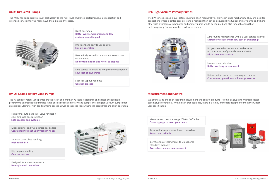### **nXDS Dry Scroll Pumps**

The nXDS has taken scroll vacuum technology to the next level. Improved performance, quiet operation and extended service intervals make nXDS the ultimate dry choice.



### **RV Oil Sealed Rotary Vane Pumps**

The RV series of rotary vane pumps are the result of more than 75 years' experience and a clean sheet design programme to produce the ultimate range of small oil sealed rotary vane pumps. These rugged vacuum pumps offer an excellent ultimate, with good pumping speeds as well as superior vapour handling capabilities and quiet operation.

Quiet operation **Better work environment and low environmental impact**

Fast acting, automatic inlet valve for best in class anti-suck back protection **Safe process and systems**

Intelligent and easy to use controls **Simple operation**

The EPX series uses a unique, patented, single-shaft regenerative / Holweck<sup>®</sup> stage mechanism. They are ideal for applications where a better base pressure is required than can be delivered by a typical primary pump and where otherwise a turbomolecular pump and primary pump would be required and also for applications that cycle frequently from atmosphere to low pressures.



Mode selector and two position gas ballast **Configured to meet your vacuum needs**

We offer a wide choice of vacuum measurement and control products – from dial gauges to microprocessor based gauge controllers. Within each product range, there is a family of models designed to meet the widest user specification.

Hermetically sealed for a lubricant free vacuum environment **No contamination and no oil to dispose**

Superior particulate handling **High reliability**

Long service interval and low power consumption **Low cost of ownership**

High vapour handling **Quicker process**

Superior vapour handling **Quicker process**

Designed for easy maintenance **No unplanned downtime**



### **EPX High Vacuum Primary Pumps**

### **Measurement and Control**

Zero routine maintenance with a 5 year service interval **Extremely reliable with low cost of ownership**

No grease or oil under vacuum and resents no other source of potential contamination **Ultra clean mechanism**



Low noise and vibration **Better working environment**

Unique patent protected pumping mechanism **Continuous operation at all inlet pressures**

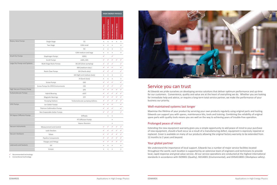|                                |                                          |                                 |                                  | <b>HIGH ENERGY PHYSICS</b>          |                    |                            |           |
|--------------------------------|------------------------------------------|---------------------------------|----------------------------------|-------------------------------------|--------------------|----------------------------|-----------|
|                                |                                          |                                 | Accelerators/LINAC               | <b>Beamlines &amp; End Stations</b> | Accelerators/LINAC | <b>Gravitational Waves</b> | Lasers    |
| Rotary Vane Pumps              | Single Stage                             | ES                              | $\ddag$                          | $\ddot{}$                           | ÷                  | ÷                          | $\ddot{}$ |
|                                | Two Stage                                | E2M small                       | ÷                                | $\ddot{}$                           | ÷                  |                            | ÷         |
|                                |                                          | <b>RV</b>                       | ÷                                | ÷                                   | ÷                  |                            | ÷         |
|                                |                                          | E2M medium and large            | $\begin{array}{c} + \end{array}$ | $\begin{array}{c} + \end{array}$    | $\ddot{}$          |                            | ÷         |
| <b>Small Dry Pumps</b>         | Diaphragm Pumps                          | XDD1                            | ✓                                |                                     | $\checkmark$       |                            |           |
|                                | <b>Scroll Pumps</b>                      | nXDS, XDS                       | ✓                                | ✓                                   | ✓                  | ✓                          | ✓         |
| Large Dry Pumps and Systems    | Multi Stage Roots Pumps                  | iXL120 (clean pumping)          | ✓                                | ✓                                   | ✓                  |                            | ✓         |
|                                |                                          | iXM (medium duty)               | ✓                                | ✓                                   | $\checkmark$       |                            | ✓         |
|                                | Roots Claw Pumps                         | iXH (Harsh duty)                | ✓                                | ✓                                   | ✓                  |                            | ✓         |
|                                |                                          | iGX (light and medium duty)     | ÷                                | ÷                                   | ÷                  |                            | ÷         |
|                                |                                          | iH (harsh duty)                 | ÷                                | ÷                                   | ÷                  |                            | ÷         |
|                                | <b>Screw Pumps</b>                       | GXS                             | ✓                                | ✓                                   | ✓                  |                            | ✓         |
|                                | <b>Screw Pumps for ATEX Environments</b> | <b>CXS</b>                      | ✓                                | ✓                                   | ✓                  |                            | ✓         |
| High Vacuum Primary Pump       |                                          | EPX                             | ✓                                | ✓                                   | ✓                  | ✓                          | ✓         |
| <b>Turbomolecular Pumps</b>    | <b>Hybrid Bearing</b>                    | nEXT                            | ✓                                | ✓                                   | ✓                  | ✓                          | ✓         |
|                                | <b>Magnetic Bearings</b>                 | <b>STP</b>                      | ✓                                | ✓                                   | ✓                  | ✓                          |           |
|                                | <b>Pumping Stations</b>                  | Turbomolecular pumping stations |                                  | ✓                                   | ✓                  | ✓                          |           |
| <b>UHV Pumps</b>               | Ion Getter Pumps                         |                                 | ✓                                | ✓                                   | ✓                  |                            | ✓         |
|                                | <b>Titanium Sublimation Pumps</b>        |                                 | ✓                                | ✓                                   | ✓                  |                            | ✓         |
|                                | Non Evaporable Getter Pumps              |                                 |                                  | ✓                                   | ✓                  |                            | ✓         |
| Oil Vapour Diffusion Pumps     |                                          | Diffstaks                       |                                  | ÷                                   | $\pm$              |                            |           |
|                                |                                          | HT Diffusion Pumps              |                                  |                                     | ÷.                 |                            |           |
|                                |                                          | Vapour Boosters                 |                                  |                                     | ÷                  |                            |           |
| Vacuum Instruments             | Measurement and Control                  |                                 | ✓                                | $\checkmark$                        | $\checkmark$       | $\checkmark$               | ✓         |
|                                | Leak Checkers                            |                                 | ✓                                | ✓                                   | ✓                  | ✓                          |           |
| Vacuum Hardware                | Valves                                   |                                 | ✓                                | ✓                                   | ✓                  | ✓                          |           |
|                                | Pipeline Components                      |                                 | ✓                                | ✓                                   | $\checkmark$       | ✓                          | ✓         |
|                                | Flanges and Fittings                     |                                 | ✓                                | ✓                                   | ✓                  | ✓                          |           |
| <b>Lubricants and Sealants</b> | Oil                                      |                                 | ÷                                | ÷                                   | ÷                  |                            | ÷         |
|                                | Grease                                   |                                 | ÷                                | $\ddot{}$                           | $\pm$              |                            | ÷         |

 $\checkmark$  Recommended technology

**+** Conventional technology



## Service you can trust

At Edwards we pride ourselves on developing service solutions that deliver optimum performance and up-time for our customers. Convenience, quality and value are at the heart of everything we do. Whether you are looking for immediate help and advice, or require a long-term total service partner, we make the performance of your business our priority.

### Well-maintained systems last longer

Maximise the lifetime of your product by servicing your own products regularly using original parts and tooling. Edwards can support you with spares, maintenance kits, tools and training. Combining the reliability of original spare parts with quality tools means you are well on the way to achieving years of trouble-free operation.

### Prolonged peace of mind

Extending the new equipment warranty gives you a simple opportunity to add peace of mind to your purchase of new equipment, should a fault occur as a result of a manufacturing defect, equipment is expressly repaired or replaced. Cover is available on many of our products allowing the original factory warranty to be extended from 12 months to 2 years and beyond.

### Your global partner

We understand the importance of local support. Edwards has a number of major service facilities located throughout the world, each location is supported by an extensive team of engineers and technicians to provide local, rapid response and great value service. All our service operations are conducted at the highest international standards in accordance with ISO9001 (Quality), ISO14001 (Environmental), and OHSAS18001 (Workplace safety).